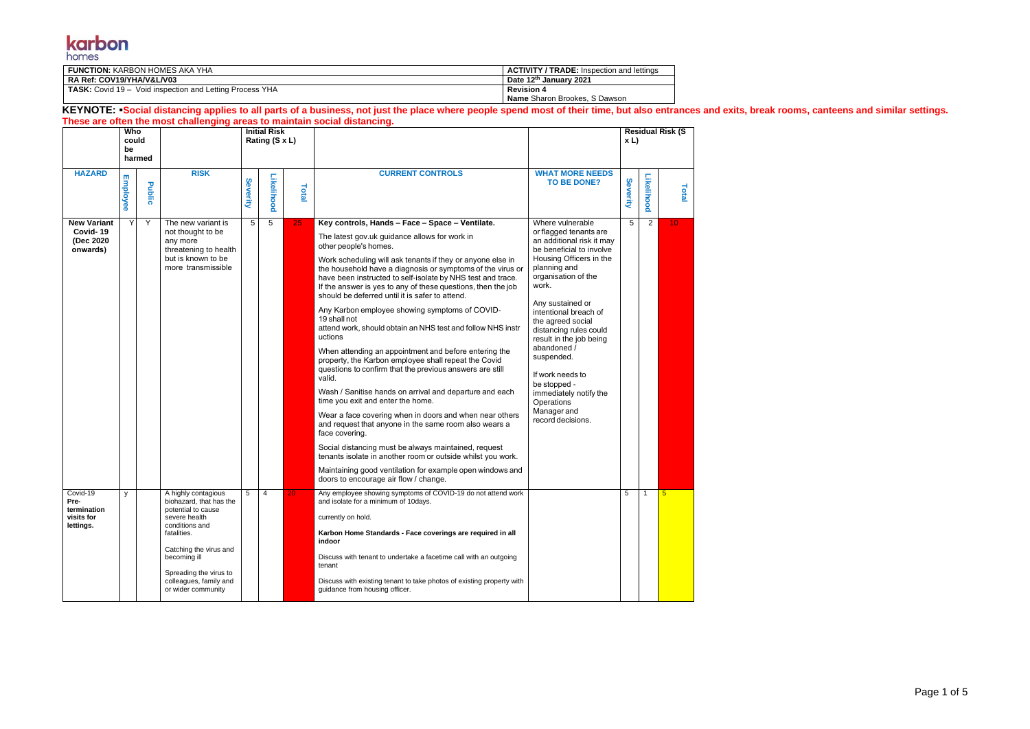#### **karbon**

| <b>FUNCTION: KARBON HOMES AKA YHA</b>                           | <b>ACTIVITY / TRADE:</b> Inspection and lettings |
|-----------------------------------------------------------------|--------------------------------------------------|
| <b>RA Ref: COV19/YHA/V&amp;L/V03</b>                            | Date 12th January 2021                           |
| <b>TASK:</b> Covid 19 – Void inspection and Letting Process YHA | <b>Revision 4</b>                                |
|                                                                 | <b>Name</b> Sharon Brookes, S Dawson             |

KEYNOTE: **•Social distancing applies to all parts of a business, not just the place where people spend most of their time, but also entrances and exits, break rooms, canteens and similar settings. These are often the most challenging areas to maintain social distancing.**

| Who<br>could                                               |                 |        |                                                                                                                                                                                                                                            | <b>Initial Risk</b><br>Rating (S x L) |            |       |                                                                                                                                                                                                                                                                                                                                                                                                                                                                                                                                                                                                                                                                                                                                                                                                                                                                                                                                                                                                                                                                                                                                                                                                                                               |                                                                                                                                                                                                                                                                                                                                                                                                                                                    | x L      |            | <b>Residual Risk (S</b> |
|------------------------------------------------------------|-----------------|--------|--------------------------------------------------------------------------------------------------------------------------------------------------------------------------------------------------------------------------------------------|---------------------------------------|------------|-------|-----------------------------------------------------------------------------------------------------------------------------------------------------------------------------------------------------------------------------------------------------------------------------------------------------------------------------------------------------------------------------------------------------------------------------------------------------------------------------------------------------------------------------------------------------------------------------------------------------------------------------------------------------------------------------------------------------------------------------------------------------------------------------------------------------------------------------------------------------------------------------------------------------------------------------------------------------------------------------------------------------------------------------------------------------------------------------------------------------------------------------------------------------------------------------------------------------------------------------------------------|----------------------------------------------------------------------------------------------------------------------------------------------------------------------------------------------------------------------------------------------------------------------------------------------------------------------------------------------------------------------------------------------------------------------------------------------------|----------|------------|-------------------------|
|                                                            | be<br>harmed    |        |                                                                                                                                                                                                                                            |                                       |            |       |                                                                                                                                                                                                                                                                                                                                                                                                                                                                                                                                                                                                                                                                                                                                                                                                                                                                                                                                                                                                                                                                                                                                                                                                                                               |                                                                                                                                                                                                                                                                                                                                                                                                                                                    |          |            |                         |
| <b>HAZARD</b>                                              | <b>Employee</b> | Public | <b>RISK</b>                                                                                                                                                                                                                                | Severity                              | Likelihood | Total | <b>CURRENT CONTROLS</b>                                                                                                                                                                                                                                                                                                                                                                                                                                                                                                                                                                                                                                                                                                                                                                                                                                                                                                                                                                                                                                                                                                                                                                                                                       | <b>WHAT MORE NEEDS</b><br><b>TO BE DONE?</b>                                                                                                                                                                                                                                                                                                                                                                                                       | Severity | Likelihood | Total                   |
| <b>New Variant</b><br>Covid-19<br>(Dec 2020<br>onwards)    | Y               | Y      | The new variant is<br>not thought to be<br>any more<br>threatening to health<br>but is known to be<br>more transmissible                                                                                                                   | 5                                     | 5          | 25    | Key controls, Hands - Face - Space - Ventilate.<br>The latest gov.uk guidance allows for work in<br>other people's homes.<br>Work scheduling will ask tenants if they or anyone else in<br>the household have a diagnosis or symptoms of the virus or<br>have been instructed to self-isolate by NHS test and trace.<br>If the answer is yes to any of these questions, then the job<br>should be deferred until it is safer to attend.<br>Any Karbon employee showing symptoms of COVID-<br>19 shall not<br>attend work, should obtain an NHS test and follow NHS instr<br>uctions<br>When attending an appointment and before entering the<br>property, the Karbon employee shall repeat the Covid<br>questions to confirm that the previous answers are still<br>valid.<br>Wash / Sanitise hands on arrival and departure and each<br>time you exit and enter the home.<br>Wear a face covering when in doors and when near others<br>and request that anyone in the same room also wears a<br>face covering.<br>Social distancing must be always maintained, request<br>tenants isolate in another room or outside whilst you work.<br>Maintaining good ventilation for example open windows and<br>doors to encourage air flow / change. | Where vulnerable<br>or flagged tenants are<br>an additional risk it may<br>be beneficial to involve<br>Housing Officers in the<br>planning and<br>organisation of the<br>work.<br>Any sustained or<br>intentional breach of<br>the agreed social<br>distancing rules could<br>result in the job being<br>abandoned /<br>suspended.<br>If work needs to<br>be stopped -<br>immediately notify the<br>Operations<br>Manager and<br>record decisions. | 5        | 2          | 10 <sup>°</sup>         |
| Covid-19<br>Pre-<br>termination<br>visits for<br>lettings. | y               |        | A highly contagious<br>biohazard, that has the<br>potential to cause<br>severe health<br>conditions and<br>fatalities.<br>Catching the virus and<br>becoming ill<br>Spreading the virus to<br>colleagues, family and<br>or wider community | 5                                     | 4          | 20    | Any employee showing symptoms of COVID-19 do not attend work<br>and isolate for a minimum of 10days.<br>currently on hold.<br>Karbon Home Standards - Face coverings are required in all<br>indoor<br>Discuss with tenant to undertake a facetime call with an outgoing<br>tenant<br>Discuss with existing tenant to take photos of existing property with<br>quidance from housing officer.                                                                                                                                                                                                                                                                                                                                                                                                                                                                                                                                                                                                                                                                                                                                                                                                                                                  |                                                                                                                                                                                                                                                                                                                                                                                                                                                    | 5        | -1         | $5\phantom{1}$          |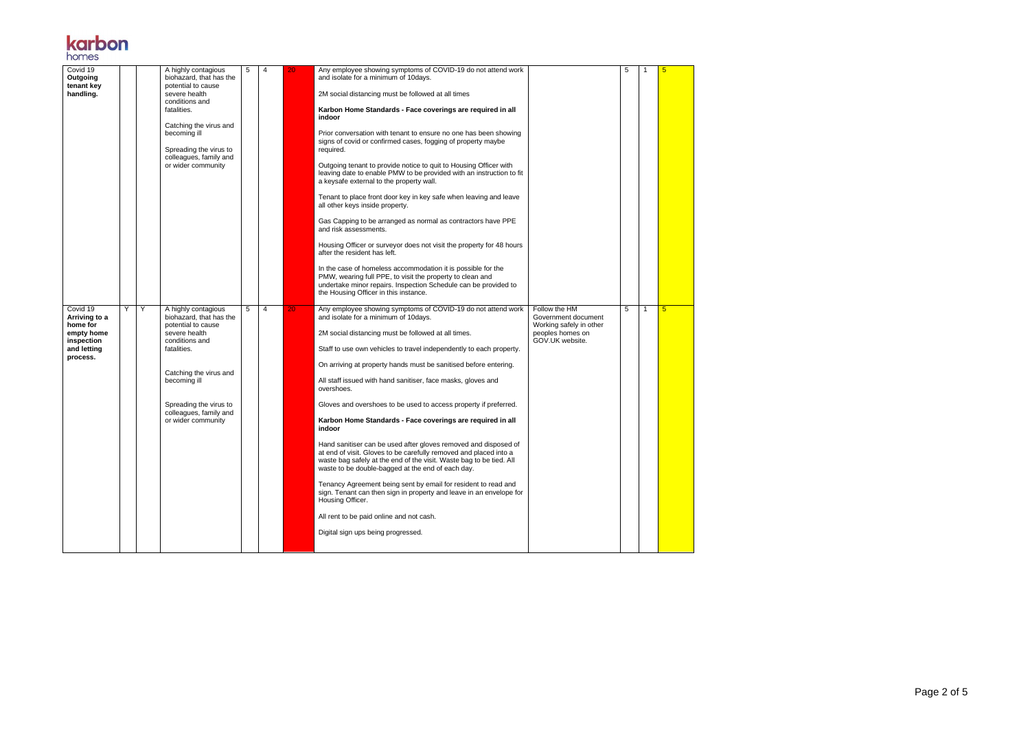Page 2 of 5

# **karbon**

| Covid 19<br>Outgoing<br>tenant key<br>handling.                                              |   |   | A highly contagious<br>biohazard, that has the<br>potential to cause<br>severe health<br>conditions and<br>fatalities.<br>Catching the virus and<br>becoming ill<br>Spreading the virus to<br>colleagues, family and<br>or wider community | 5 | 4 | 20 | Any employee showing symptoms of COVID-19 do not attend work<br>and isolate for a minimum of 10days.<br>2M social distancing must be followed at all times<br>Karbon Home Standards - Face coverings are required in all<br>indoor<br>Prior conversation with tenant to ensure no one has been showing<br>signs of covid or confirmed cases, fogging of property maybe<br>required.<br>Outgoing tenant to provide notice to quit to Housing Officer with<br>leaving date to enable PMW to be provided with an instruction to fit<br>a keysafe external to the property wall.<br>Tenant to place front door key in key safe when leaving and leave<br>all other keys inside property.<br>Gas Capping to be arranged as normal as contractors have PPE<br>and risk assessments.<br>Housing Officer or surveyor does not visit the property for 48 hours<br>after the resident has left.<br>In the case of homeless accommodation it is possible for the<br>PMW, wearing full PPE, to visit the property to clean and<br>undertake minor repairs. Inspection Schedule can be provided to<br>the Housing Officer in this instance.                                | 5 |   |
|----------------------------------------------------------------------------------------------|---|---|--------------------------------------------------------------------------------------------------------------------------------------------------------------------------------------------------------------------------------------------|---|---|----|---------------------------------------------------------------------------------------------------------------------------------------------------------------------------------------------------------------------------------------------------------------------------------------------------------------------------------------------------------------------------------------------------------------------------------------------------------------------------------------------------------------------------------------------------------------------------------------------------------------------------------------------------------------------------------------------------------------------------------------------------------------------------------------------------------------------------------------------------------------------------------------------------------------------------------------------------------------------------------------------------------------------------------------------------------------------------------------------------------------------------------------------------------------|---|---|
| Covid 19<br>Arriving to a<br>home for<br>empty home<br>inspection<br>and letting<br>process. | Y | Y | A highly contagious<br>biohazard, that has the<br>potential to cause<br>severe health<br>conditions and<br>fatalities.<br>Catching the virus and<br>becoming ill<br>Spreading the virus to<br>colleagues, family and<br>or wider community | 5 | 4 | 20 | Any employee showing symptoms of COVID-19 do not attend work<br>Follow the HM<br>and isolate for a minimum of 10days.<br>Government document<br>Working safely in other<br>2M social distancing must be followed at all times.<br>peoples homes on<br>GOV.UK website.<br>Staff to use own vehicles to travel independently to each property.<br>On arriving at property hands must be sanitised before entering.<br>All staff issued with hand sanitiser, face masks, gloves and<br>overshoes.<br>Gloves and overshoes to be used to access property if preferred.<br>Karbon Home Standards - Face coverings are required in all<br>indoor<br>Hand sanitiser can be used after gloves removed and disposed of<br>at end of visit. Gloves to be carefully removed and placed into a<br>waste bag safely at the end of the visit. Waste bag to be tied. All<br>waste to be double-bagged at the end of each day.<br>Tenancy Agreement being sent by email for resident to read and<br>sign. Tenant can then sign in property and leave in an envelope for<br>Housing Officer.<br>All rent to be paid online and not cash.<br>Digital sign ups being progressed. | 5 | 5 |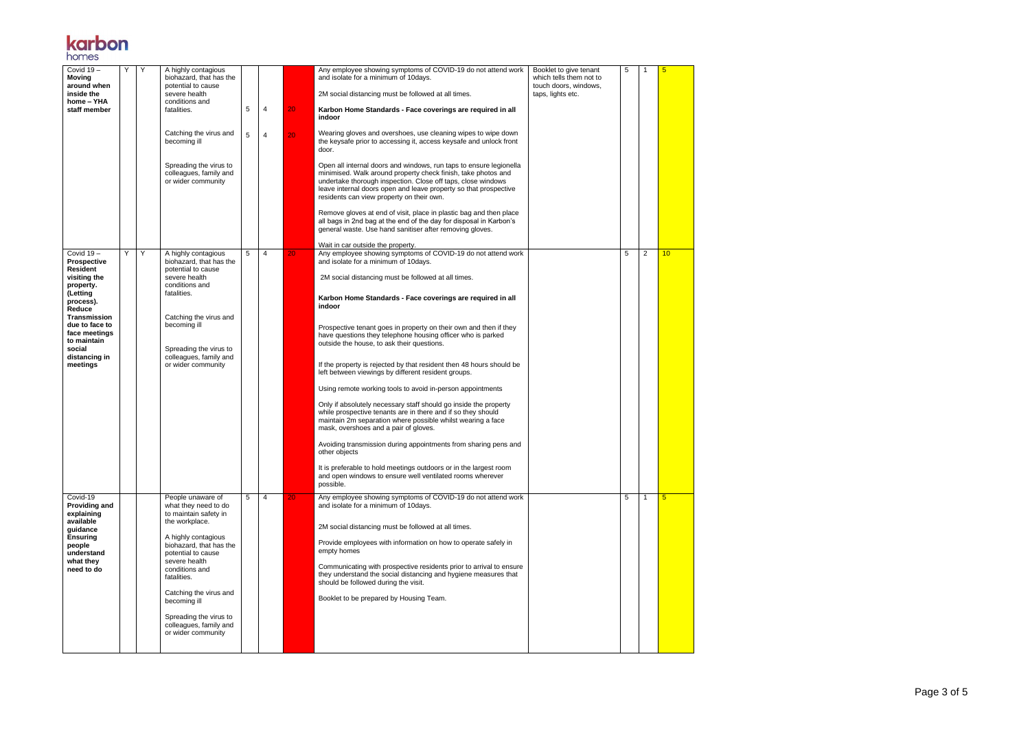Page 3 of 5

# **karbon**

| Covid $19 -$<br><b>Moving</b><br>around when<br>inside the<br>home - YHA<br>staff member                                                                                                                               | Y | Y | A highly contagious<br>biohazard, that has the<br>potential to cause<br>severe health<br>conditions and<br>fatalities.<br>Catching the virus and<br>becoming ill<br>Spreading the virus to<br>colleagues, family and<br>or wider community                                                                                         | 5<br>5 | 4<br>4 | 20 <sub>1</sub><br>20 | Any employee showing symptoms of COVID-19 do not attend work<br>and isolate for a minimum of 10days.<br>2M social distancing must be followed at all times.<br>Karbon Home Standards - Face coverings are required in all<br>indoor<br>Wearing gloves and overshoes, use cleaning wipes to wipe down<br>the keysafe prior to accessing it, access keysafe and unlock front<br>door.<br>Open all internal doors and windows, run taps to ensure legionella<br>minimised. Walk around property check finish, take photos and<br>undertake thorough inspection. Close off taps, close windows<br>leave internal doors open and leave property so that prospective<br>residents can view property on their own.<br>Remove gloves at end of visit, place in plastic bag and then place<br>all bags in 2nd bag at the end of the day for disposal in Karbon's<br>general waste. Use hand sanitiser after removing gloves.<br>Wait in car outside the property.                                                                                                                                          | Booklet to give tenant<br>which tells them not to<br>touch doors, windows,<br>taps, lights etc. | 5 | -1             | 5  |
|------------------------------------------------------------------------------------------------------------------------------------------------------------------------------------------------------------------------|---|---|------------------------------------------------------------------------------------------------------------------------------------------------------------------------------------------------------------------------------------------------------------------------------------------------------------------------------------|--------|--------|-----------------------|---------------------------------------------------------------------------------------------------------------------------------------------------------------------------------------------------------------------------------------------------------------------------------------------------------------------------------------------------------------------------------------------------------------------------------------------------------------------------------------------------------------------------------------------------------------------------------------------------------------------------------------------------------------------------------------------------------------------------------------------------------------------------------------------------------------------------------------------------------------------------------------------------------------------------------------------------------------------------------------------------------------------------------------------------------------------------------------------------|-------------------------------------------------------------------------------------------------|---|----------------|----|
| Covid $19-$<br><b>Prospective</b><br>Resident<br>visiting the<br>property.<br>(Letting<br>process).<br>Reduce<br>Transmission<br>due to face to<br>face meetings<br>to maintain<br>social<br>distancing in<br>meetings | Y | Υ | A highly contagious<br>biohazard, that has the<br>potential to cause<br>severe health<br>conditions and<br>fatalities.<br>Catching the virus and<br>becoming ill<br>Spreading the virus to<br>colleagues, family and<br>or wider community                                                                                         | 5      | 4      | 20                    | Any employee showing symptoms of COVID-19 do not attend work<br>and isolate for a minimum of 10days.<br>2M social distancing must be followed at all times.<br>Karbon Home Standards - Face coverings are required in all<br>indoor<br>Prospective tenant goes in property on their own and then if they<br>have questions they telephone housing officer who is parked<br>outside the house, to ask their questions.<br>If the property is rejected by that resident then 48 hours should be<br>left between viewings by different resident groups.<br>Using remote working tools to avoid in-person appointments<br>Only if absolutely necessary staff should go inside the property<br>while prospective tenants are in there and if so they should<br>maintain 2m separation where possible whilst wearing a face<br>mask, overshoes and a pair of gloves.<br>Avoiding transmission during appointments from sharing pens and<br>other objects<br>It is preferable to hold meetings outdoors or in the largest room<br>and open windows to ensure well ventilated rooms wherever<br>possible. |                                                                                                 | 5 | $\overline{2}$ | 10 |
| Covid-19<br><b>Providing and</b><br>explaining<br>available<br>guidance<br><b>Ensuring</b><br>people<br>understand<br>what they<br>need to do                                                                          |   |   | People unaware of<br>what they need to do<br>to maintain safety in<br>the workplace.<br>A highly contagious<br>biohazard, that has the<br>potential to cause<br>severe health<br>conditions and<br>fatalities.<br>Catching the virus and<br>becoming ill<br>Spreading the virus to<br>colleagues, family and<br>or wider community | 5      | 4      | 20 <sub>1</sub>       | Any employee showing symptoms of COVID-19 do not attend work<br>and isolate for a minimum of 10days.<br>2M social distancing must be followed at all times.<br>Provide employees with information on how to operate safely in<br>empty homes<br>Communicating with prospective residents prior to arrival to ensure<br>they understand the social distancing and hygiene measures that<br>should be followed during the visit.<br>Booklet to be prepared by Housing Team.                                                                                                                                                                                                                                                                                                                                                                                                                                                                                                                                                                                                                         |                                                                                                 | 5 | $\mathbf{1}$   | 5  |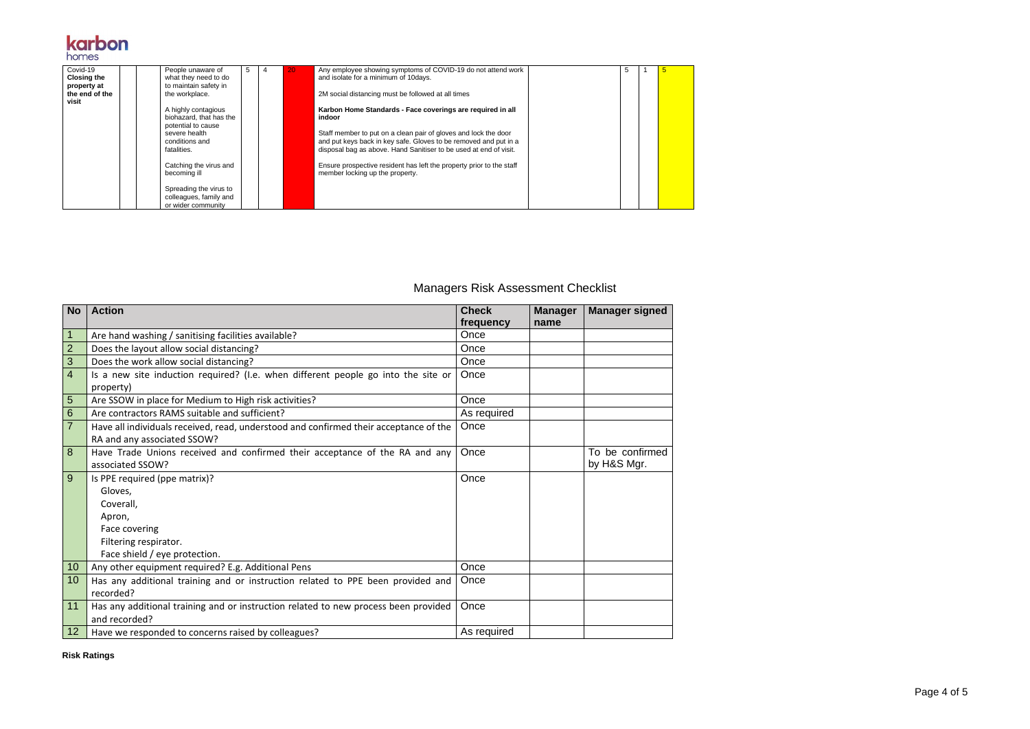Page 4 of 5

# **karbon**

| Covid-19<br><b>Closing the</b> | People unaware of<br>what they need to do                              | 5 | 20. | Any employee showing symptoms of COVID-19 do not attend work<br>and isolate for a minimum of 10 days.                                                                                                    |  |  |
|--------------------------------|------------------------------------------------------------------------|---|-----|----------------------------------------------------------------------------------------------------------------------------------------------------------------------------------------------------------|--|--|
| property at<br>the end of the  | to maintain safety in<br>the workplace.                                |   |     | 2M social distancing must be followed at all times                                                                                                                                                       |  |  |
| visit                          | A highly contagious<br>biohazard, that has the<br>potential to cause   |   |     | Karbon Home Standards - Face coverings are required in all<br>indoor                                                                                                                                     |  |  |
|                                | severe health<br>conditions and<br>fatalities.                         |   |     | Staff member to put on a clean pair of gloves and lock the door<br>and put keys back in key safe. Gloves to be removed and put in a<br>disposal bag as above. Hand Sanitiser to be used at end of visit. |  |  |
|                                | Catching the virus and<br>becoming ill                                 |   |     | Ensure prospective resident has left the property prior to the staff<br>member locking up the property.                                                                                                  |  |  |
|                                | Spreading the virus to<br>colleagues, family and<br>or wider community |   |     |                                                                                                                                                                                                          |  |  |

#### Managers Risk Assessment Checklist

| <b>No</b>       | <b>Action</b>                                                                         | <b>Check</b> | <b>Manager</b> | <b>Manager signed</b> |
|-----------------|---------------------------------------------------------------------------------------|--------------|----------------|-----------------------|
|                 |                                                                                       | frequency    | name           |                       |
| 1               | Are hand washing / sanitising facilities available?                                   | Once         |                |                       |
| $\overline{2}$  | Does the layout allow social distancing?                                              | Once         |                |                       |
| 3               | Does the work allow social distancing?                                                | Once         |                |                       |
| $\overline{4}$  | Is a new site induction required? (I.e. when different people go into the site or     | Once         |                |                       |
|                 | property)                                                                             |              |                |                       |
| 5               | Are SSOW in place for Medium to High risk activities?                                 | Once         |                |                       |
| 6               | Are contractors RAMS suitable and sufficient?                                         | As required  |                |                       |
| $\overline{7}$  | Have all individuals received, read, understood and confirmed their acceptance of the | Once         |                |                       |
|                 | RA and any associated SSOW?                                                           |              |                |                       |
| 8               | Have Trade Unions received and confirmed their acceptance of the RA and any           | Once         |                | To be confirmed       |
|                 | associated SSOW?                                                                      |              |                | by H&S Mgr.           |
| 9               | Is PPE required (ppe matrix)?                                                         | Once         |                |                       |
|                 | Gloves,                                                                               |              |                |                       |
|                 | Coverall,                                                                             |              |                |                       |
|                 | Apron,                                                                                |              |                |                       |
|                 | Face covering                                                                         |              |                |                       |
|                 | Filtering respirator.                                                                 |              |                |                       |
|                 | Face shield / eye protection.                                                         |              |                |                       |
| 10              | Any other equipment required? E.g. Additional Pens                                    | Once         |                |                       |
| 10              | Has any additional training and or instruction related to PPE been provided and       | Once         |                |                       |
|                 | recorded?                                                                             |              |                |                       |
| 11              | Has any additional training and or instruction related to new process been provided   | Once         |                |                       |
|                 | and recorded?                                                                         |              |                |                       |
| 12 <sub>2</sub> | Have we responded to concerns raised by colleagues?                                   | As required  |                |                       |

**Risk Ratings**